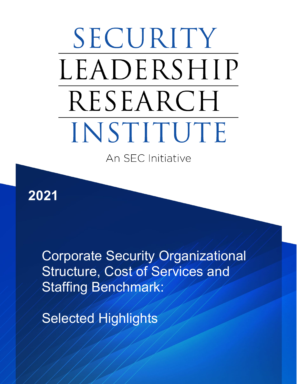# SECURITY LEADERSHIP RESEARCH INSTITUTE

An SEC Initiative

**2021**

Corporate Security Organizational Structure, Cost of Services and Staffing Benchmark:

Selected Highlights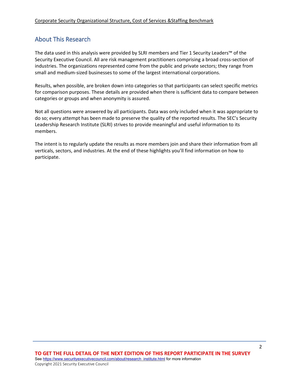## About This Research

The data used in this analysis were provided by SLRI members and Tier 1 Security Leaders™ of the Security Executive Council. All are risk management practitioners comprising a broad cross-section of industries. The organizations represented come from the public and private sectors; they range from small and medium-sized businesses to some of the largest international corporations.

Results, when possible, are broken down into categories so that participants can select specific metrics for comparison purposes. These details are provided when there is sufficient data to compare between categories or groups and when anonymity is assured.

Not all questions were answered by all participants. Data was only included when it was appropriate to do so; every attempt has been made to preserve the quality of the reported results. The SEC's Security Leadership Research Institute (SLRI) strives to provide meaningful and useful information to its members.

The intent is to regularly update the results as more members join and share their information from all verticals, sectors, and industries. At the end of these highlights you'll find information on how to participate.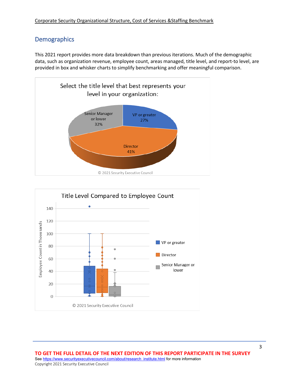## **Demographics**

This 2021 report provides more data breakdown than previous iterations. Much of the demographic data, such as organization revenue, employee count, areas managed, title level, and report-to level, are provided in box and whisker charts to simplify benchmarking and offer meaningful comparison.





**TO GET THE FULL DETAIL OF THE NEXT EDITION OF THIS REPORT PARTICIPATE IN THE SURVEY**  Se[e https://www.securityexecutivecouncil.com/about/research\\_institute.html](https://www.securityexecutivecouncil.com/about/research_institute.html) for more information Copyright 2021 Security Executive Council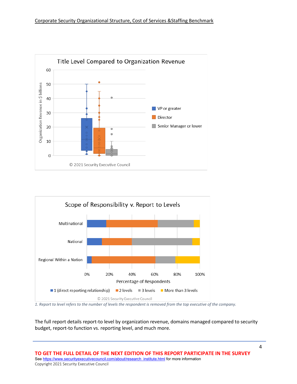



*1. Report to level refers to the number of levels the respondent is removed from the top executive of the company.*

The full report details report-to level by organization revenue, domains managed compared to security budget, report-to function vs. reporting level, and much more.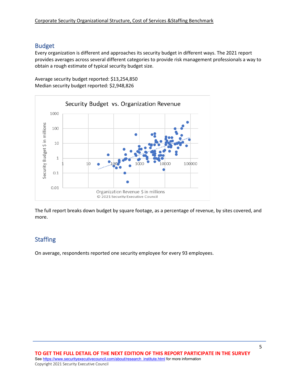#### Budget

Every organization is different and approaches its security budget in different ways. The 2021 report provides averages across several different categories to provide risk management professionals a way to obtain a rough estimate of typical security budget size.

Average security budget reported: \$13,254,850 Median security budget reported: \$2,948,826



The full report breaks down budget by square footage, as a percentage of revenue, by sites covered, and more.

# **Staffing**

On average, respondents reported one security employee for every 93 employees.